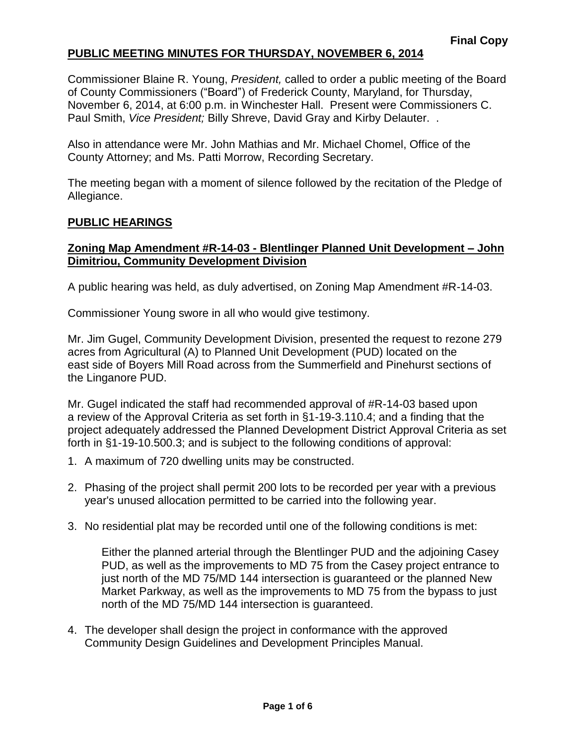Commissioner Blaine R. Young, *President,* called to order a public meeting of the Board of County Commissioners ("Board") of Frederick County, Maryland, for Thursday, November 6, 2014, at 6:00 p.m. in Winchester Hall. Present were Commissioners C. Paul Smith, *Vice President;* Billy Shreve, David Gray and Kirby Delauter. .

Also in attendance were Mr. John Mathias and Mr. Michael Chomel, Office of the County Attorney; and Ms. Patti Morrow, Recording Secretary.

The meeting began with a moment of silence followed by the recitation of the Pledge of Allegiance.

#### **PUBLIC HEARINGS**

## **Zoning Map Amendment #R-14-03 - Blentlinger Planned Unit Development – John Dimitriou, Community Development Division**

A public hearing was held, as duly advertised, on Zoning Map Amendment #R-14-03.

Commissioner Young swore in all who would give testimony.

Mr. Jim Gugel, Community Development Division, presented the request to rezone 279 acres from Agricultural (A) to Planned Unit Development (PUD) located on the east side of Boyers Mill Road across from the Summerfield and Pinehurst sections of the Linganore PUD.

Mr. Gugel indicated the staff had recommended approval of #R-14-03 based upon a review of the Approval Criteria as set forth in §1-19-3.110.4; and a finding that the project adequately addressed the Planned Development District Approval Criteria as set forth in §1-19-10.500.3; and is subject to the following conditions of approval:

- 1. A maximum of 720 dwelling units may be constructed.
- 2. Phasing of the project shall permit 200 lots to be recorded per year with a previous year's unused allocation permitted to be carried into the following year.
- 3. No residential plat may be recorded until one of the following conditions is met:

Either the planned arterial through the Blentlinger PUD and the adjoining Casey PUD, as well as the improvements to MD 75 from the Casey project entrance to just north of the MD 75/MD 144 intersection is guaranteed or the planned New Market Parkway, as well as the improvements to MD 75 from the bypass to just north of the MD 75/MD 144 intersection is guaranteed.

4. The developer shall design the project in conformance with the approved Community Design Guidelines and Development Principles Manual.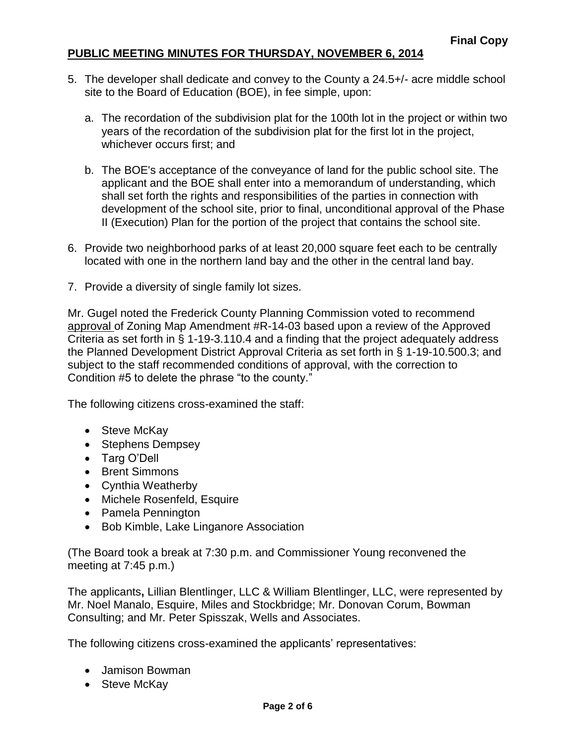- 5. The developer shall dedicate and convey to the County a 24.5+/- acre middle school site to the Board of Education (BOE), in fee simple, upon:
	- a. The recordation of the subdivision plat for the 100th lot in the project or within two years of the recordation of the subdivision plat for the first lot in the project, whichever occurs first; and
	- b. The BOE's acceptance of the conveyance of land for the public school site. The applicant and the BOE shall enter into a memorandum of understanding, which shall set forth the rights and responsibilities of the parties in connection with development of the school site, prior to final, unconditional approval of the Phase II (Execution) Plan for the portion of the project that contains the school site.
- 6. Provide two neighborhood parks of at least 20,000 square feet each to be centrally located with one in the northern land bay and the other in the central land bay.
- 7. Provide a diversity of single family lot sizes.

Mr. Gugel noted the Frederick County Planning Commission voted to recommend approval of Zoning Map Amendment #R-14-03 based upon a review of the Approved Criteria as set forth in § 1-19-3.110.4 and a finding that the project adequately address the Planned Development District Approval Criteria as set forth in § 1-19-10.500.3; and subject to the staff recommended conditions of approval, with the correction to Condition #5 to delete the phrase "to the county."

The following citizens cross-examined the staff:

- Steve McKay
- Stephens Dempsey
- Targ O'Dell
- Brent Simmons
- Cynthia Weatherby
- Michele Rosenfeld, Esquire
- Pamela Pennington
- Bob Kimble, Lake Linganore Association

(The Board took a break at 7:30 p.m. and Commissioner Young reconvened the meeting at 7:45 p.m.)

The applicants**,** Lillian Blentlinger, LLC & William Blentlinger, LLC, were represented by Mr. Noel Manalo, Esquire, Miles and Stockbridge; Mr. Donovan Corum, Bowman Consulting; and Mr. Peter Spisszak, Wells and Associates.

The following citizens cross-examined the applicants' representatives:

- Jamison Bowman
- Steve McKay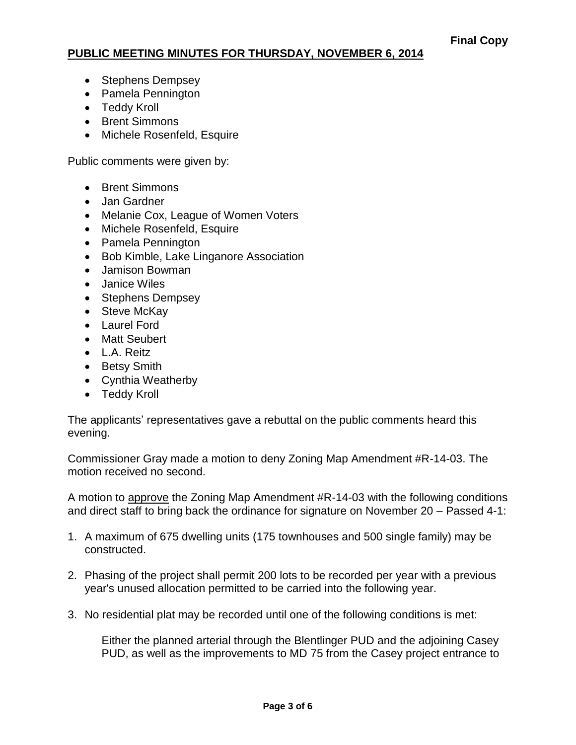- Stephens Dempsey
- Pamela Pennington
- Teddy Kroll
- Brent Simmons
- Michele Rosenfeld, Esquire

Public comments were given by:

- Brent Simmons
- Jan Gardner
- Melanie Cox, League of Women Voters
- Michele Rosenfeld, Esquire
- Pamela Pennington
- Bob Kimble, Lake Linganore Association
- Jamison Bowman
- Janice Wiles
- Stephens Dempsey
- Steve McKav
- Laurel Ford
- Matt Seubert
- L.A. Reitz
- Betsy Smith
- Cynthia Weatherby
- Teddy Kroll

The applicants' representatives gave a rebuttal on the public comments heard this evening.

Commissioner Gray made a motion to deny Zoning Map Amendment #R-14-03. The motion received no second.

A motion to approve the Zoning Map Amendment #R-14-03 with the following conditions and direct staff to bring back the ordinance for signature on November 20 – Passed 4-1:

- 1. A maximum of 675 dwelling units (175 townhouses and 500 single family) may be constructed.
- 2. Phasing of the project shall permit 200 lots to be recorded per year with a previous year's unused allocation permitted to be carried into the following year.
- 3. No residential plat may be recorded until one of the following conditions is met:

Either the planned arterial through the Blentlinger PUD and the adjoining Casey PUD, as well as the improvements to MD 75 from the Casey project entrance to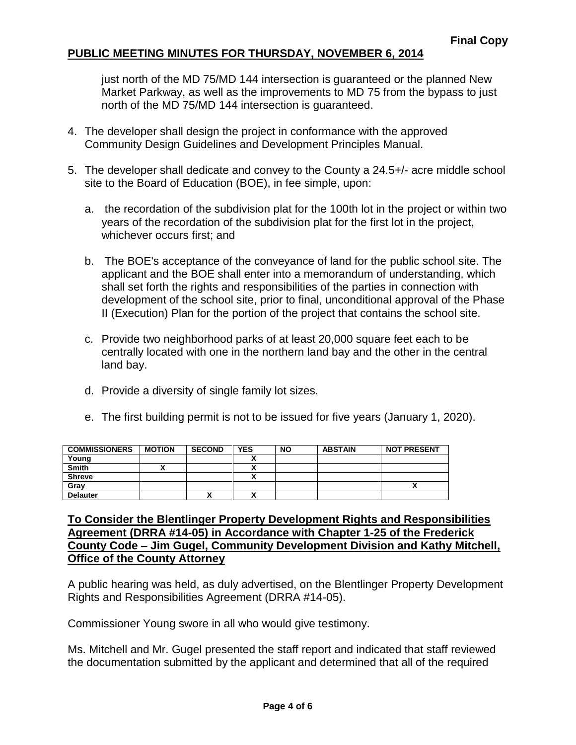just north of the MD 75/MD 144 intersection is guaranteed or the planned New Market Parkway, as well as the improvements to MD 75 from the bypass to just north of the MD 75/MD 144 intersection is guaranteed.

- 4. The developer shall design the project in conformance with the approved Community Design Guidelines and Development Principles Manual.
- 5. The developer shall dedicate and convey to the County a 24.5+/- acre middle school site to the Board of Education (BOE), in fee simple, upon:
	- a. the recordation of the subdivision plat for the 100th lot in the project or within two years of the recordation of the subdivision plat for the first lot in the project, whichever occurs first; and
	- b. The BOE's acceptance of the conveyance of land for the public school site. The applicant and the BOE shall enter into a memorandum of understanding, which shall set forth the rights and responsibilities of the parties in connection with development of the school site, prior to final, unconditional approval of the Phase II (Execution) Plan for the portion of the project that contains the school site.
	- c. Provide two neighborhood parks of at least 20,000 square feet each to be centrally located with one in the northern land bay and the other in the central land bay.
	- d. Provide a diversity of single family lot sizes.
	- e. The first building permit is not to be issued for five years (January 1, 2020).

| <b>COMMISSIONERS</b> | <b>MOTION</b> | <b>SECOND</b> | <b>YES</b> | <b>NO</b> | <b>ABSTAIN</b> | <b>NOT PRESENT</b> |
|----------------------|---------------|---------------|------------|-----------|----------------|--------------------|
| Young                |               |               |            |           |                |                    |
| <b>Smith</b>         |               |               |            |           |                |                    |
| <b>Shreve</b>        |               |               |            |           |                |                    |
| Grav                 |               |               |            |           |                |                    |
| <b>Delauter</b>      |               | Λ             |            |           |                |                    |

#### **To Consider the Blentlinger Property Development Rights and Responsibilities Agreement (DRRA #14-05) in Accordance with Chapter 1-25 of the Frederick County Code – Jim Gugel, Community Development Division and Kathy Mitchell, Office of the County Attorney**

A public hearing was held, as duly advertised, on the Blentlinger Property Development Rights and Responsibilities Agreement (DRRA #14-05).

Commissioner Young swore in all who would give testimony.

Ms. Mitchell and Mr. Gugel presented the staff report and indicated that staff reviewed the documentation submitted by the applicant and determined that all of the required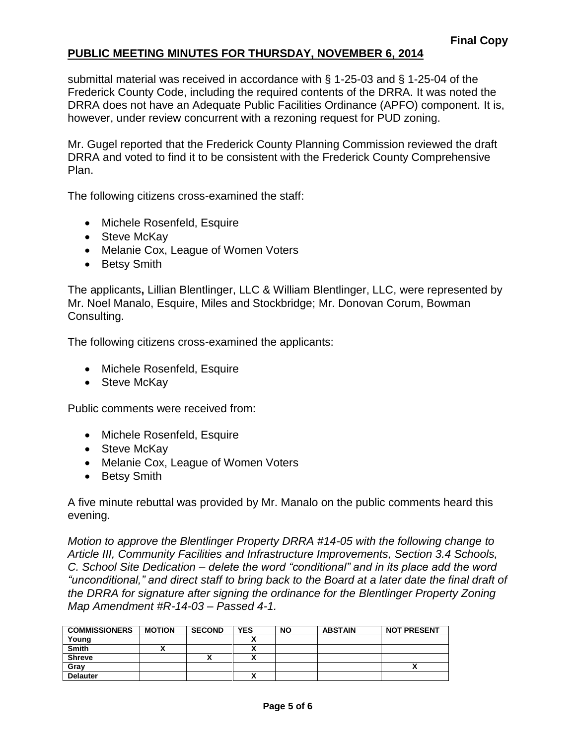submittal material was received in accordance with § 1-25-03 and § 1-25-04 of the Frederick County Code, including the required contents of the DRRA. It was noted the DRRA does not have an Adequate Public Facilities Ordinance (APFO) component. It is, however, under review concurrent with a rezoning request for PUD zoning.

Mr. Gugel reported that the Frederick County Planning Commission reviewed the draft DRRA and voted to find it to be consistent with the Frederick County Comprehensive Plan.

The following citizens cross-examined the staff:

- Michele Rosenfeld, Esquire
- Steve McKay
- Melanie Cox, League of Women Voters
- Betsy Smith

The applicants**,** Lillian Blentlinger, LLC & William Blentlinger, LLC, were represented by Mr. Noel Manalo, Esquire, Miles and Stockbridge; Mr. Donovan Corum, Bowman Consulting.

The following citizens cross-examined the applicants:

- Michele Rosenfeld, Esquire
- Steve McKay

Public comments were received from:

- Michele Rosenfeld, Esquire
- Steve McKay
- Melanie Cox, League of Women Voters
- Betsy Smith

A five minute rebuttal was provided by Mr. Manalo on the public comments heard this evening.

*Motion to approve the Blentlinger Property DRRA #14-05 with the following change to Article III, Community Facilities and Infrastructure Improvements, Section 3.4 Schools, C. School Site Dedication – delete the word "conditional" and in its place add the word "unconditional," and direct staff to bring back to the Board at a later date the final draft of the DRRA for signature after signing the ordinance for the Blentlinger Property Zoning Map Amendment #R-14-03 – Passed 4-1.*

| <b>COMMISSIONERS</b> | <b>MOTION</b> | <b>SECOND</b> | <b>YES</b>   | <b>NO</b> | <b>ABSTAIN</b> | <b>NOT PRESENT</b> |
|----------------------|---------------|---------------|--------------|-----------|----------------|--------------------|
| Young                |               |               |              |           |                |                    |
| <b>Smith</b>         |               |               |              |           |                |                    |
| <b>Shreve</b>        |               | ↗             |              |           |                |                    |
| Gray                 |               |               |              |           |                | $\mathbf{v}$       |
| <b>Delauter</b>      |               |               | $\mathbf{v}$ |           |                |                    |